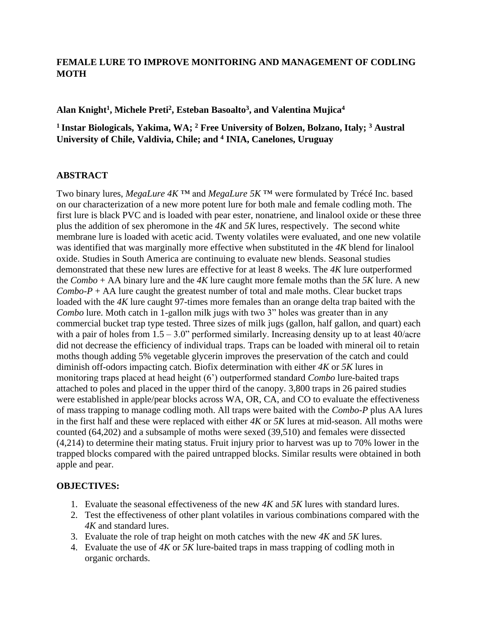## **FEMALE LURE TO IMPROVE MONITORING AND MANAGEMENT OF CODLING MOTH**

**Alan Knight<sup>1</sup> , Michele Preti<sup>2</sup> , Esteban Basoalto<sup>3</sup> , and Valentina Mujica<sup>4</sup>**

# **<sup>1</sup>Instar Biologicals, Yakima, WA; <sup>2</sup> Free University of Bolzen, Bolzano, Italy; <sup>3</sup> Austral University of Chile, Valdivia, Chile; and <sup>4</sup> INIA, Canelones, Uruguay**

## **ABSTRACT**

Two binary lures, *MegaLure 4K* ™ and *MegaLure 5K* ™ were formulated by Trécé Inc. based on our characterization of a new more potent lure for both male and female codling moth. The first lure is black PVC and is loaded with pear ester, nonatriene, and linalool oxide or these three plus the addition of sex pheromone in the *4K* and *5K* lures, respectively. The second white membrane lure is loaded with acetic acid. Twenty volatiles were evaluated, and one new volatile was identified that was marginally more effective when substituted in the *4K* blend for linalool oxide. Studies in South America are continuing to evaluate new blends. Seasonal studies demonstrated that these new lures are effective for at least 8 weeks. The *4K* lure outperformed the *Combo* + AA binary lure and the *4K* lure caught more female moths than the *5K* lure. A new *Combo-P* + AA lure caught the greatest number of total and male moths. Clear bucket traps loaded with the *4K* lure caught 97-times more females than an orange delta trap baited with the *Combo* lure. Moth catch in 1-gallon milk jugs with two 3" holes was greater than in any commercial bucket trap type tested. Three sizes of milk jugs (gallon, half gallon, and quart) each with a pair of holes from  $1.5 - 3.0$ " performed similarly. Increasing density up to at least 40/acre did not decrease the efficiency of individual traps. Traps can be loaded with mineral oil to retain moths though adding 5% vegetable glycerin improves the preservation of the catch and could diminish off-odors impacting catch. Biofix determination with either *4K* or *5K* lures in monitoring traps placed at head height (6') outperformed standard *Combo* lure-baited traps attached to poles and placed in the upper third of the canopy. 3,800 traps in 26 paired studies were established in apple/pear blocks across WA, OR, CA, and CO to evaluate the effectiveness of mass trapping to manage codling moth. All traps were baited with the *Combo-P* plus AA lures in the first half and these were replaced with either *4K* or *5K* lures at mid-season. All moths were counted (64,202) and a subsample of moths were sexed (39,510) and females were dissected (4,214) to determine their mating status. Fruit injury prior to harvest was up to 70% lower in the trapped blocks compared with the paired untrapped blocks. Similar results were obtained in both apple and pear.

## **OBJECTIVES:**

- 1. Evaluate the seasonal effectiveness of the new *4K* and *5K* lures with standard lures.
- 2. Test the effectiveness of other plant volatiles in various combinations compared with the *4K* and standard lures.
- 3. Evaluate the role of trap height on moth catches with the new *4K* and *5K* lures.
- 4. Evaluate the use of *4K* or *5K* lure-baited traps in mass trapping of codling moth in organic orchards.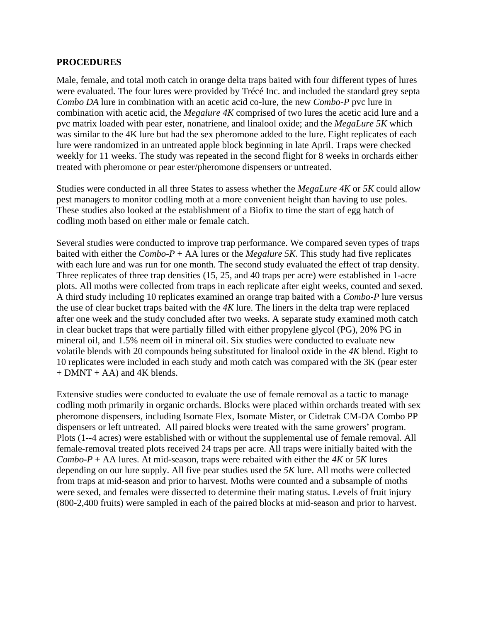#### **PROCEDURES**

Male, female, and total moth catch in orange delta traps baited with four different types of lures were evaluated. The four lures were provided by Trécé Inc. and included the standard grey septa *Combo DA* lure in combination with an acetic acid co-lure, the new *Combo-P* pvc lure in combination with acetic acid, the *Megalure 4K* comprised of two lures the acetic acid lure and a pvc matrix loaded with pear ester, nonatriene, and linalool oxide; and the *MegaLure 5K* which was similar to the 4K lure but had the sex pheromone added to the lure. Eight replicates of each lure were randomized in an untreated apple block beginning in late April. Traps were checked weekly for 11 weeks. The study was repeated in the second flight for 8 weeks in orchards either treated with pheromone or pear ester/pheromone dispensers or untreated.

Studies were conducted in all three States to assess whether the *MegaLure 4K* or *5K* could allow pest managers to monitor codling moth at a more convenient height than having to use poles. These studies also looked at the establishment of a Biofix to time the start of egg hatch of codling moth based on either male or female catch.

Several studies were conducted to improve trap performance. We compared seven types of traps baited with either the *Combo-P* + AA lures or the *Megalure 5K*. This study had five replicates with each lure and was run for one month. The second study evaluated the effect of trap density. Three replicates of three trap densities (15, 25, and 40 traps per acre) were established in 1-acre plots. All moths were collected from traps in each replicate after eight weeks, counted and sexed. A third study including 10 replicates examined an orange trap baited with a *Combo-P* lure versus the use of clear bucket traps baited with the *4K* lure. The liners in the delta trap were replaced after one week and the study concluded after two weeks. A separate study examined moth catch in clear bucket traps that were partially filled with either propylene glycol (PG), 20% PG in mineral oil, and 1.5% neem oil in mineral oil. Six studies were conducted to evaluate new volatile blends with 20 compounds being substituted for linalool oxide in the *4K* blend. Eight to 10 replicates were included in each study and moth catch was compared with the 3K (pear ester  $+$  DMNT  $+$  AA) and 4K blends.

Extensive studies were conducted to evaluate the use of female removal as a tactic to manage codling moth primarily in organic orchards. Blocks were placed within orchards treated with sex pheromone dispensers, including Isomate Flex, Isomate Mister, or Cidetrak CM-DA Combo PP dispensers or left untreated. All paired blocks were treated with the same growers' program. Plots (1--4 acres) were established with or without the supplemental use of female removal. All female-removal treated plots received 24 traps per acre. All traps were initially baited with the *Combo-P* + AA lures. At mid-season, traps were rebaited with either the  $4K$  or  $5K$  lures depending on our lure supply. All five pear studies used the *5K* lure. All moths were collected from traps at mid-season and prior to harvest. Moths were counted and a subsample of moths were sexed, and females were dissected to determine their mating status. Levels of fruit injury (800-2,400 fruits) were sampled in each of the paired blocks at mid-season and prior to harvest.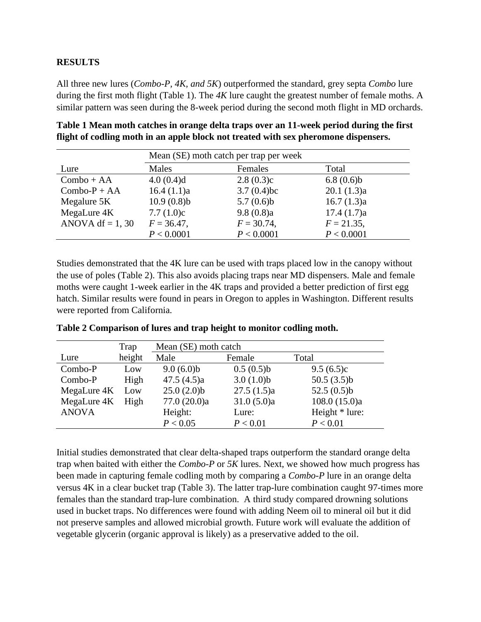## **RESULTS**

All three new lures (*Combo-P, 4K, and 5K*) outperformed the standard, grey septa *Combo* lure during the first moth flight (Table 1). The *4K* lure caught the greatest number of female moths. A similar pattern was seen during the 8-week period during the second moth flight in MD orchards.

| Table 1 Mean moth catches in orange delta traps over an 11-week period during the first |
|-----------------------------------------------------------------------------------------|
| flight of codling moth in an apple block not treated with sex pheromone dispensers.     |

|                    | Mean (SE) moth catch per trap per week |               |               |  |  |  |
|--------------------|----------------------------------------|---------------|---------------|--|--|--|
| Lure               | Males                                  | Females       | Total         |  |  |  |
| $Combo + AA$       | 4.0(0.4)d                              | 2.8(0.3)c     | 6.8(0.6)b     |  |  |  |
| $Combo-P + AA$     | 16.4(1.1)a                             | $3.7(0.4)$ bc | 20.1(1.3)a    |  |  |  |
| Megalure 5K        | 10.9(0.8)b                             | 5.7(0.6)b     | 16.7(1.3)a    |  |  |  |
| MegaLure 4K        | 7.7(1.0)c                              | 9.8(0.8)a     | 17.4(1.7)a    |  |  |  |
| ANOVA df = $1, 30$ | $F = 36.47$ ,                          | $F = 30.74$ , | $F = 21.35$ , |  |  |  |
|                    | P < 0.0001                             | P < 0.0001    | P < 0.0001    |  |  |  |

Studies demonstrated that the 4K lure can be used with traps placed low in the canopy without the use of poles (Table 2). This also avoids placing traps near MD dispensers. Male and female moths were caught 1-week earlier in the 4K traps and provided a better prediction of first egg hatch. Similar results were found in pears in Oregon to apples in Washington. Different results were reported from California.

|              | Trap   | Mean (SE) moth catch |            |                |  |  |
|--------------|--------|----------------------|------------|----------------|--|--|
| Lure         | height | Male                 | Female     | Total          |  |  |
| Combo-P      | Low    | 9.0(6.0)b            | 0.5(0.5)b  | 9.5(6.5)c      |  |  |
| Combo-P      | High   | 47.5(4.5)a           | 3.0(1.0)b  | 50.5 $(3.5)b$  |  |  |
| MegaLure 4K  | Low    | 25.0(2.0)b           | 27.5(1.5)a | 52.5 $(0.5)b$  |  |  |
| MegaLure 4K  | High   | 77.0 (20.0)a         | 31.0(5.0)a | 108.0(15.0)a   |  |  |
| <b>ANOVA</b> |        | Height:              | Lure:      | Height * lure: |  |  |
|              |        | P < 0.05             | P < 0.01   | P < 0.01       |  |  |

**Table 2 Comparison of lures and trap height to monitor codling moth.**

Initial studies demonstrated that clear delta-shaped traps outperform the standard orange delta trap when baited with either the *Combo-P* or *5K* lures. Next, we showed how much progress has been made in capturing female codling moth by comparing a *Combo-P* lure in an orange delta versus 4K in a clear bucket trap (Table 3). The latter trap-lure combination caught 97-times more females than the standard trap-lure combination. A third study compared drowning solutions used in bucket traps. No differences were found with adding Neem oil to mineral oil but it did not preserve samples and allowed microbial growth. Future work will evaluate the addition of vegetable glycerin (organic approval is likely) as a preservative added to the oil.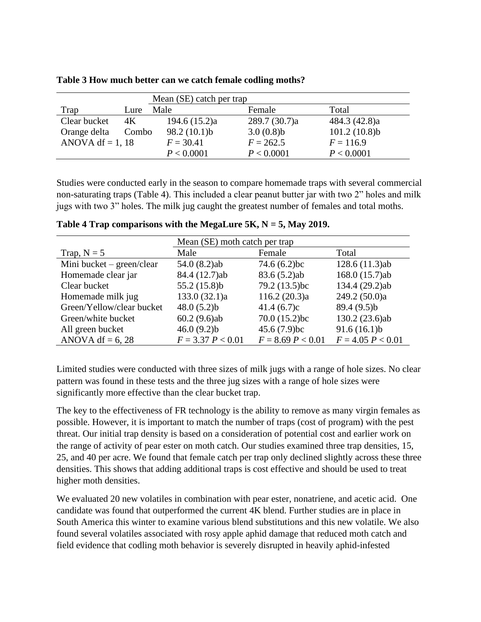|                    |       | Mean (SE) catch per trap |               |               |  |  |
|--------------------|-------|--------------------------|---------------|---------------|--|--|
| Trap               | Lure  | Male                     | Female        | Total         |  |  |
| Clear bucket       | 4K    | 194.6 $(15.2)a$          | 289.7 (30.7)a | 484.3 (42.8)a |  |  |
| Orange delta       | Combo | 98.2(10.1)b              | 3.0(0.8)b     | 101.2(10.8)b  |  |  |
| ANOVA df = $1, 18$ |       | $F = 30.41$              | $F = 262.5$   | $F = 116.9$   |  |  |
|                    |       | P < 0.0001               | P < 0.0001    | P < 0.0001    |  |  |

**Table 3 How much better can we catch female codling moths?** 

Studies were conducted early in the season to compare homemade traps with several commercial non-saturating traps (Table 4). This included a clear peanut butter jar with two 2" holes and milk jugs with two 3" holes. The milk jug caught the greatest number of females and total moths.

|                           | Mean (SE) moth catch per trap |                     |                     |  |  |
|---------------------------|-------------------------------|---------------------|---------------------|--|--|
| Trap, $N = 5$             | Male                          | Female              | Total               |  |  |
| Mini bucket – green/clear | 54.0(8.2)ab                   | 74.6 $(6.2)$ bc     | 128.6 (11.3)ab      |  |  |
| Homemade clear jar        | 84.4 (12.7)ab                 | 83.6(5.2)ab         | 168.0 (15.7)ab      |  |  |
| Clear bucket              | 55.2 $(15.8)b$                | 79.2 (13.5)bc       | 134.4 (29.2)ab      |  |  |
| Homemade milk jug         | 133.0 (32.1)a                 | 116.2 (20.3)a       | 249.2 (50.0)a       |  |  |
| Green/Yellow/clear bucket | 48.0(5.2)b                    | 41.4(6.7)c          | 89.4 (9.5)b         |  |  |
| Green/white bucket        | $60.2(9.6)$ ab                | 70.0(15.2)bc        | 130.2 (23.6)ab      |  |  |
| All green bucket          | 46.0(9.2)b                    | 45.6 $(7.9)$ bc     | 91.6(16.1)b         |  |  |
| ANOVA df = $6, 28$        | $F = 3.37 P < 0.01$           | $F = 8.69 P < 0.01$ | $F = 4.05 P < 0.01$ |  |  |

**Table 4 Trap comparisons with the MegaLure 5K, N = 5, May 2019.**

Limited studies were conducted with three sizes of milk jugs with a range of hole sizes. No clear pattern was found in these tests and the three jug sizes with a range of hole sizes were significantly more effective than the clear bucket trap.

The key to the effectiveness of FR technology is the ability to remove as many virgin females as possible. However, it is important to match the number of traps (cost of program) with the pest threat. Our initial trap density is based on a consideration of potential cost and earlier work on the range of activity of pear ester on moth catch. Our studies examined three trap densities, 15, 25, and 40 per acre. We found that female catch per trap only declined slightly across these three densities. This shows that adding additional traps is cost effective and should be used to treat higher moth densities.

We evaluated 20 new volatiles in combination with pear ester, nonatriene, and acetic acid. One candidate was found that outperformed the current 4K blend. Further studies are in place in South America this winter to examine various blend substitutions and this new volatile. We also found several volatiles associated with rosy apple aphid damage that reduced moth catch and field evidence that codling moth behavior is severely disrupted in heavily aphid-infested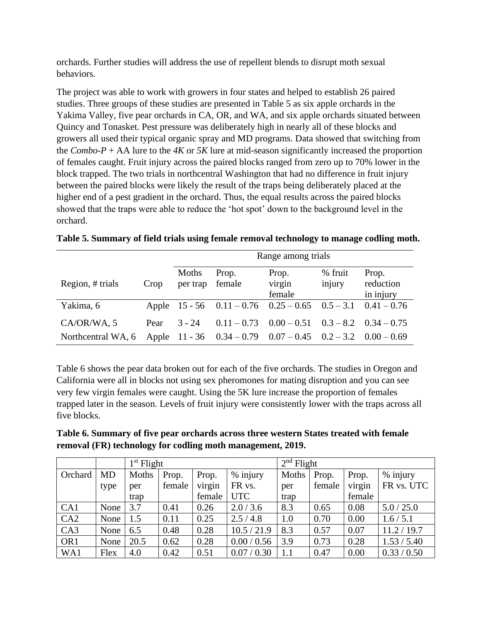orchards. Further studies will address the use of repellent blends to disrupt moth sexual behaviors.

The project was able to work with growers in four states and helped to establish 26 paired studies. Three groups of these studies are presented in Table 5 as six apple orchards in the Yakima Valley, five pear orchards in CA, OR, and WA, and six apple orchards situated between Quincy and Tonasket. Pest pressure was deliberately high in nearly all of these blocks and growers all used their typical organic spray and MD programs. Data showed that switching from the *Combo-P* + AA lure to the *4K* or *5K* lure at mid-season significantly increased the proportion of females caught. Fruit injury across the paired blocks ranged from zero up to 70% lower in the block trapped. The two trials in northcentral Washington that had no difference in fruit injury between the paired blocks were likely the result of the traps being deliberately placed at the higher end of a pest gradient in the orchard. Thus, the equal results across the paired blocks showed that the traps were able to reduce the 'hot spot' down to the background level in the orchard.

|                    |      | Range among trials |                 |                                                                       |                   |                                 |
|--------------------|------|--------------------|-----------------|-----------------------------------------------------------------------|-------------------|---------------------------------|
| Region, # trials   | Crop | Moths<br>per trap  | Prop.<br>female | Prop.<br>virgin<br>female                                             | % fruit<br>injury | Prop.<br>reduction<br>in injury |
| Yakima, 6          |      |                    |                 | Apple $15 - 56$ $0.11 - 0.76$ $0.25 - 0.65$ $0.5 - 3.1$ $0.41 - 0.76$ |                   |                                 |
| CA/OR/WA, 5        | Pear | $3 - 24$           |                 | $0.11 - 0.73$ $0.00 - 0.51$ $0.3 - 8.2$ $0.34 - 0.75$                 |                   |                                 |
| Northcentral WA, 6 |      |                    |                 | Apple $11 - 36$ $0.34 - 0.79$ $0.07 - 0.45$ $0.2 - 3.2$ $0.00 - 0.69$ |                   |                                 |

|  |  | Table 5. Summary of field trials using female removal technology to manage codling moth. |
|--|--|------------------------------------------------------------------------------------------|
|  |  |                                                                                          |

Table 6 shows the pear data broken out for each of the five orchards. The studies in Oregon and California were all in blocks not using sex pheromones for mating disruption and you can see very few virgin females were caught. Using the 5K lure increase the proportion of females trapped later in the season. Levels of fruit injury were consistently lower with the traps across all five blocks.

**Table 6. Summary of five pear orchards across three western States treated with female removal (FR) technology for codling moth management, 2019.**

|                 |           | $1st$ Flight |        |        | $2nd$ Flight |       |        |        |             |
|-----------------|-----------|--------------|--------|--------|--------------|-------|--------|--------|-------------|
| Orchard         | <b>MD</b> | Moths        | Prop.  | Prop.  | % injury     | Moths | Prop.  | Prop.  | % injury    |
|                 | type      | per          | female | virgin | FR vs.       | per   | female | virgin | FR vs. UTC  |
|                 |           | trap         |        | female | <b>UTC</b>   | trap  |        | female |             |
| CA1             | None      | 3.7          | 0.41   | 0.26   | 2.0 / 3.6    | 8.3   | 0.65   | 0.08   | 5.0 / 25.0  |
| CA2             | None      | 1.5          | 0.11   | 0.25   | 2.5/4.8      | 1.0   | 0.70   | 0.00   | 1.6 / 5.1   |
| CA3             | None      | 6.5          | 0.48   | 0.28   | 10.5 / 21.9  | 8.3   | 0.57   | 0.07   | 11.2 / 19.7 |
| OR <sub>1</sub> | None      | 20.5         | 0.62   | 0.28   | 0.00 / 0.56  | 3.9   | 0.73   | 0.28   | 1.53 / 5.40 |
| WA1             | Flex      | 4.0          | 0.42   | 0.51   | 0.07 / 0.30  | 1.1   | 0.47   | 0.00   | 0.33 / 0.50 |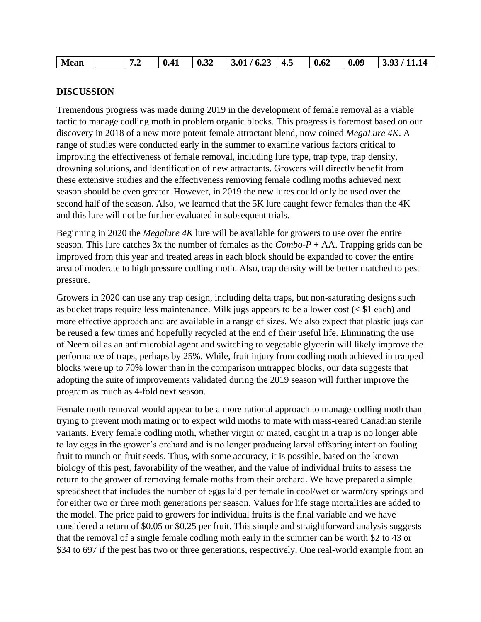## **DISCUSSION**

Tremendous progress was made during 2019 in the development of female removal as a viable tactic to manage codling moth in problem organic blocks. This progress is foremost based on our discovery in 2018 of a new more potent female attractant blend, now coined *MegaLure 4K*. A range of studies were conducted early in the summer to examine various factors critical to improving the effectiveness of female removal, including lure type, trap type, trap density, drowning solutions, and identification of new attractants. Growers will directly benefit from these extensive studies and the effectiveness removing female codling moths achieved next season should be even greater. However, in 2019 the new lures could only be used over the second half of the season. Also, we learned that the 5K lure caught fewer females than the 4K and this lure will not be further evaluated in subsequent trials.

Beginning in 2020 the *Megalure 4K* lure will be available for growers to use over the entire season. This lure catches 3x the number of females as the *Combo-P* + AA. Trapping grids can be improved from this year and treated areas in each block should be expanded to cover the entire area of moderate to high pressure codling moth. Also, trap density will be better matched to pest pressure.

Growers in 2020 can use any trap design, including delta traps, but non-saturating designs such as bucket traps require less maintenance. Milk jugs appears to be a lower cost (< \$1 each) and more effective approach and are available in a range of sizes. We also expect that plastic jugs can be reused a few times and hopefully recycled at the end of their useful life. Eliminating the use of Neem oil as an antimicrobial agent and switching to vegetable glycerin will likely improve the performance of traps, perhaps by 25%. While, fruit injury from codling moth achieved in trapped blocks were up to 70% lower than in the comparison untrapped blocks, our data suggests that adopting the suite of improvements validated during the 2019 season will further improve the program as much as 4-fold next season.

Female moth removal would appear to be a more rational approach to manage codling moth than trying to prevent moth mating or to expect wild moths to mate with mass-reared Canadian sterile variants. Every female codling moth, whether virgin or mated, caught in a trap is no longer able to lay eggs in the grower's orchard and is no longer producing larval offspring intent on fouling fruit to munch on fruit seeds. Thus, with some accuracy, it is possible, based on the known biology of this pest, favorability of the weather, and the value of individual fruits to assess the return to the grower of removing female moths from their orchard. We have prepared a simple spreadsheet that includes the number of eggs laid per female in cool/wet or warm/dry springs and for either two or three moth generations per season. Values for life stage mortalities are added to the model. The price paid to growers for individual fruits is the final variable and we have considered a return of \$0.05 or \$0.25 per fruit. This simple and straightforward analysis suggests that the removal of a single female codling moth early in the summer can be worth \$2 to 43 or \$34 to 697 if the pest has two or three generations, respectively. One real-world example from an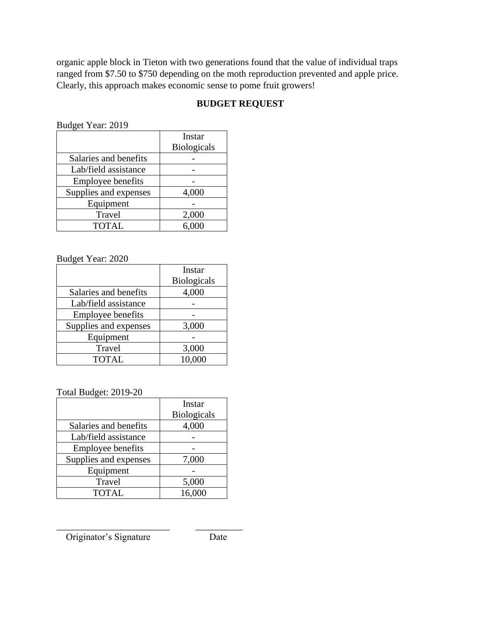organic apple block in Tieton with two generations found that the value of individual traps ranged from \$7.50 to \$750 depending on the moth reproduction prevented and apple price. Clearly, this approach makes economic sense to pome fruit growers!

# **BUDGET REQUEST**

|                          | Instar<br><b>Biologicals</b> |
|--------------------------|------------------------------|
| Salaries and benefits    |                              |
| Lab/field assistance     |                              |
| <b>Employee benefits</b> |                              |
| Supplies and expenses    | 4,000                        |
| Equipment                |                              |
| Travel                   | 2,000                        |
| <b>TOTAL</b>             | 6,000                        |

## Budget Year: 2020

|                          | Instar             |
|--------------------------|--------------------|
|                          | <b>Biologicals</b> |
| Salaries and benefits    | 4,000              |
| Lab/field assistance     |                    |
| <b>Employee benefits</b> |                    |
| Supplies and expenses    | 3,000              |
| Equipment                |                    |
| Travel                   | 3,000              |
| <b>TOTAL</b>             | 10,000             |

Total Budget: 2019-20

|                       | Instar             |
|-----------------------|--------------------|
|                       | <b>Biologicals</b> |
| Salaries and benefits | 4,000              |
| Lab/field assistance  |                    |
| Employee benefits     |                    |
| Supplies and expenses | 7,000              |
| Equipment             |                    |
| Travel                | 5,000              |
| <b>TOTAL</b>          | 16,000             |

\_\_\_\_\_\_\_\_\_\_\_\_\_\_\_\_\_\_\_\_\_\_\_\_ \_\_\_\_\_\_\_\_\_\_

Originator's Signature Date